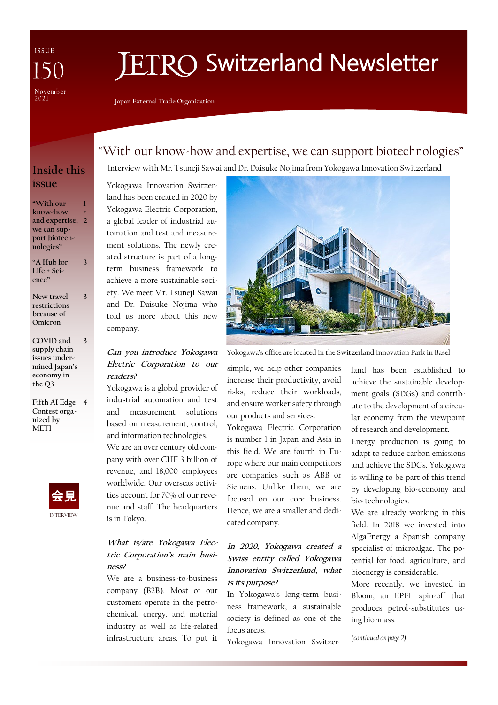ISSUE November<br>2021

# **FTRO Switzerland Newsletter**

**Japan External Trade Organization**

## "With our know-how and expertise, we can support biotechnologies"

## **Inside this issue**

**"With our know-how and expertise, 2 we can support biotechnologies" 1 +**

**"A Hub for Life + Science"**

**3**

**New travel restrictions because of Omicron 3**

**COVID and supply chain issues undermined Japan's economy in the Q3 3**

**Fifth AI Edge 4 Contest organized by METI**



## Interview with Mr. Tsuneji Sawai and Dr. Daisuke Nojima from Yokogawa Innovation Switzerland

Yokogawa Innovation Switzerland has been created in 2020 by Yokogawa Electric Corporation, a global leader of industrial automation and test and measurement solutions. The newly created structure is part of a longterm business framework to achieve a more sustainable society. We meet Mr. TsunejI Sawai and Dr. Daisuke Nojima who told us more about this new company.

#### **Can you introduce Yokogawa Electric Corporation to our readers?**

Yokogawa is a global provider of industrial automation and test and measurement solutions based on measurement, control, and information technologies.

We are an over century old company with over CHF 3 billion of revenue, and 18,000 employees worldwide. Our overseas activities account for 70% of our revenue and staff. The headquarters is in Tokyo.

#### **What is/are Yokogawa Electric Corporation's main business?**

We are a business-to-business company (B2B). Most of our customers operate in the petrochemical, energy, and material industry as well as life-related infrastructure areas. To put it



Yokogawa's office are located in the Switzerland Innovation Park in Basel

simple, we help other companies increase their productivity, avoid risks, reduce their workloads, and ensure worker safety through our products and services.

Yokogawa Electric Corporation is number 1 in Japan and Asia in this field. We are fourth in Europe where our main competitors are companies such as ABB or Siemens. Unlike them, we are focused on our core business. Hence, we are a smaller and dedicated company.

#### **In 2020, Yokogawa created a Swiss entity called Yokogawa Innovation Switzerland, what is its purpose?**

In Yokogawa's long-term business framework, a sustainable society is defined as one of the focus areas.

Yokogawa Innovation Switzer-

land has been established to achieve the sustainable development goals (SDGs) and contribute to the development of a circular economy from the viewpoint of research and development.

Energy production is going to adapt to reduce carbon emissions and achieve the SDGs. Yokogawa is willing to be part of this trend by developing bio-economy and bio-technologies.

We are already working in this field. In 2018 we invested into AlgaEnergy a Spanish company specialist of microalgae. The potential for food, agriculture, and bioenergy is considerable.

More recently, we invested in Bloom, an EPFL spin-off that produces petrol-substitutes using bio-mass.

*(continued on page 2)*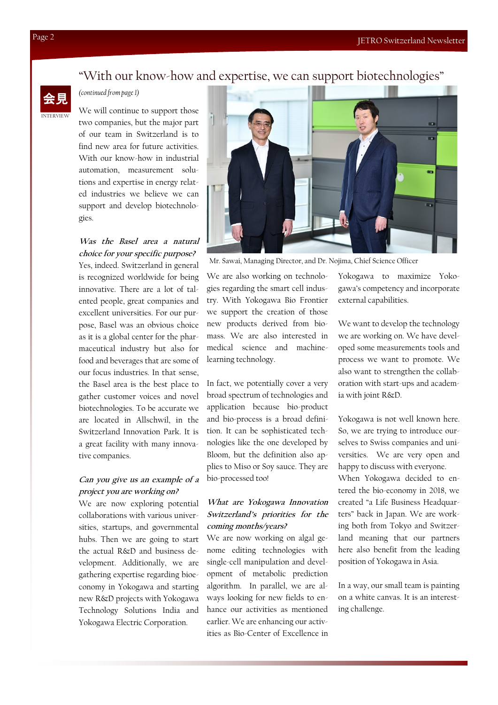### "With our know-how and expertise, we can support biotechnologies"



#### *(continued from page 1)*

We will continue to support those two companies, but the major part of our team in Switzerland is to find new area for future activities. With our know-how in industrial automation, measurement solutions and expertise in energy related industries we believe we can support and develop biotechnologies.

#### **Was the Basel area a natural choice for your specific purpose?**

Yes, indeed. Switzerland in general is recognized worldwide for being innovative. There are a lot of talented people, great companies and excellent universities. For our purpose, Basel was an obvious choice as it is a global center for the pharmaceutical industry but also for food and beverages that are some of our focus industries. In that sense, the Basel area is the best place to gather customer voices and novel biotechnologies. To be accurate we are located in Allschwil, in the Switzerland Innovation Park. It is a great facility with many innovative companies.

#### **Can you give us an example of a project you are working on?**

We are now exploring potential collaborations with various universities, startups, and governmental hubs. Then we are going to start the actual R&D and business development. Additionally, we are gathering expertise regarding bioeconomy in Yokogawa and starting new R&D projects with Yokogawa Technology Solutions India and Yokogawa Electric Corporation.



Mr. Sawai, Managing Director, and Dr. Nojima, Chief Science Officer

We are also working on technologies regarding the smart cell industry. With Yokogawa Bio Frontier we support the creation of those new products derived from biomass. We are also interested in medical science and machinelearning technology.

In fact, we potentially cover a very broad spectrum of technologies and application because bio-product and bio-process is a broad definition. It can be sophisticated technologies like the one developed by Bloom, but the definition also applies to Miso or Soy sauce. They are bio-processed too!

#### **What are Yokogawa Innovation Switzerland's priorities for the coming months/years?**

We are now working on algal genome editing technologies with single-cell manipulation and development of metabolic prediction algorithm. In parallel, we are always looking for new fields to enhance our activities as mentioned earlier. We are enhancing our activities as Bio-Center of Excellence in

Yokogawa to maximize Yokogawa's competency and incorporate external capabilities.

We want to develop the technology we are working on. We have developed some measurements tools and process we want to promote. We also want to strengthen the collaboration with start-ups and academia with joint R&D.

Yokogawa is not well known here. So, we are trying to introduce ourselves to Swiss companies and universities. We are very open and happy to discuss with everyone. When Yokogawa decided to entered the bio-economy in 2018, we created "a Life Business Headquarters" back in Japan. We are working both from Tokyo and Switzerland meaning that our partners here also benefit from the leading position of Yokogawa in Asia.

In a way, our small team is painting on a white canvas. It is an interesting challenge.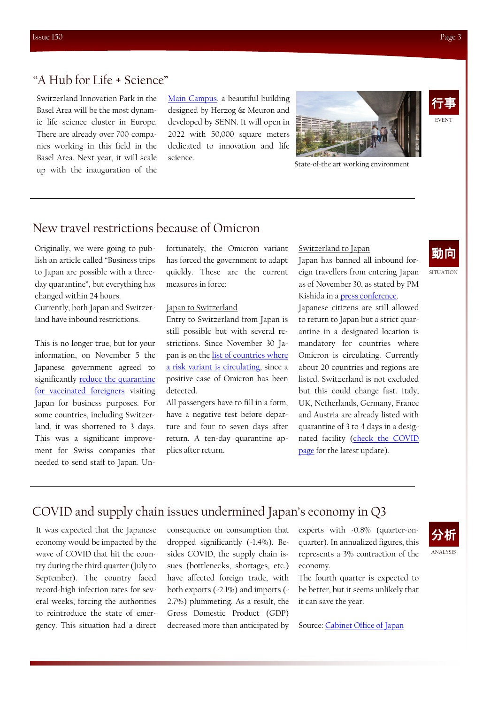EVENT 行事

## "A Hub for Life + Science"

Switzerland Innovation Park in the Basel Area will be the most dynamic life science cluster in Europe. There are already over 700 companies working in this field in the Basel Area. Next year, it will scale up with the inauguration of the [Main Campus,](https://maincampus.ch/) a beautiful building designed by Herzog & Meuron and developed by SENN. It will open in 2022 with 50,000 square meters dedicated to innovation and life science.



State-of-the art working environment

#### New travel restrictions because of Omicron

Originally, we were going to publish an article called "Business trips to Japan are possible with a threeday quarantine", but everything has changed within 24 hours. Currently, both Japan and Switzerland have inbound restrictions.

This is no longer true, but for your information, on November 5 the Japanese government agreed to significantly [reduce the quarantine](https://www.mofa.go.jp/ca/cp/page22e_000925.html)  [for vaccinated foreigners](https://www.mofa.go.jp/ca/cp/page22e_000925.html) visiting Japan for business purposes. For some countries, including Switzerland, it was shortened to 3 days. This was a significant improvement for Swiss companies that needed to send staff to Japan. Unfortunately, the Omicron variant has forced the government to adapt quickly. These are the current measures in force:

#### Japan to Switzerland

Entry to Switzerland from Japan is still possible but with several restrictions. Since November 30 Japan is on the [list of countries where](https://www.bag.admin.ch/bag/en/home/krankheiten/ausbrueche-epidemien-pandemien/aktuelle-ausbrueche-epidemien/novel-cov/empfehlungen-fuer-reisende/liste.html)  [a risk variant is circulating,](https://www.bag.admin.ch/bag/en/home/krankheiten/ausbrueche-epidemien-pandemien/aktuelle-ausbrueche-epidemien/novel-cov/empfehlungen-fuer-reisende/liste.html) since a positive case of Omicron has been detected.

All passengers have to fill in a form, have a negative test before departure and four to seven days after return. A ten-day quarantine applies after return.

#### Switzerland to Japan

Japan has banned all inbound foreign travellers from entering Japan as of November 30, as stated by PM Kishida in a [press conference.](https://japan.kantei.go.jp/101_kishida/statement/202111/_00006.html)

Japanese citizens are still allowed to return to Japan but a strict quarantine in a designated location is mandatory for countries where Omicron is circulating. Currently about 20 countries and regions are listed. Switzerland is not excluded but this could change fast. Italy, UK, Netherlands, Germany, France and Austria are already listed with quarantine of 3 to 4 days in a designated facility [\(check the COVID](https://corona.go.jp/news/news_20211105_01.html)  [page](https://corona.go.jp/news/news_20211105_01.html) for the latest update).

## 動向

**SITUATION** 

## COVID and supply chain issues undermined Japan's economy in Q3

It was expected that the Japanese economy would be impacted by the wave of COVID that hit the country during the third quarter (July to September). The country faced record-high infection rates for several weeks, forcing the authorities to reintroduce the state of emergency. This situation had a direct

consequence on consumption that dropped significantly (-1.4%). Besides COVID, the supply chain issues (bottlenecks, shortages, etc.) have affected foreign trade, with both exports (-2.1%) and imports (- 2.7%) plummeting. As a result, the Gross Domestic Product (GDP) decreased more than anticipated by experts with -0.8% (quarter-onquarter). In annualized figures, this represents a 3% contraction of the economy.

The fourth quarter is expected to be better, but it seems unlikely that it can save the year.

Source: [Cabinet Office of Japan](https://www.esri.cao.go.jp/en/sna/sokuhou/sokuhou_top.html)